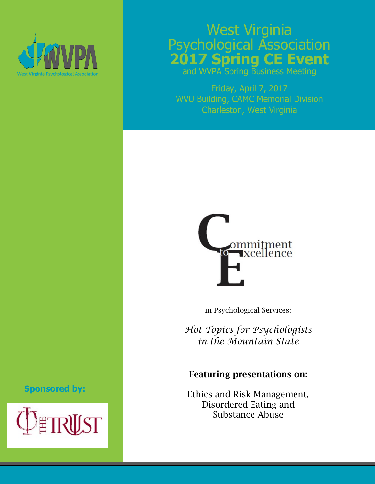

# West Virginia Psychological Association **2017 Spring CE Event**

and WVPA Spring Business Meeting

Friday, April 7, 2017 WVU Building, CAMC Memorial Division Charleston, West Virginia



in Psychological Services:

*Hot Topics for Psychologists in the Mountain State* 

### Featuring presentations on:

Ethics and Risk Management, Disordered Eating and Substance Abuse

## **Sponsored by:**

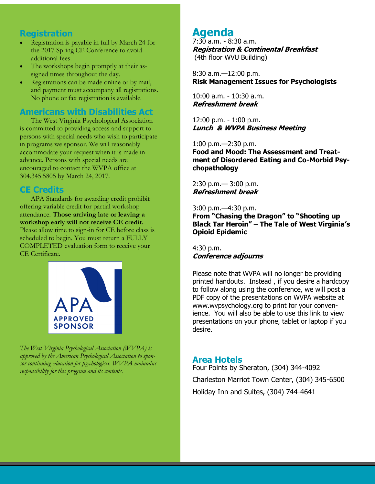#### **Registration**

- Registration is payable in full by March 24 for the 2017 Spring CE Conference to avoid additional fees.
- The workshops begin promptly at their assigned times throughout the day.
- Registrations can be made online or by mail, and payment must accompany all registrations. No phone or fax registration is available.

#### **Americans with Disabilities Act**

The West Virginia Psychological Association is committed to providing access and support to persons with special needs who wish to participate in programs we sponsor. We will reasonably accommodate your request when it is made in advance. Persons with special needs are encouraged to contact the WVPA office at 304.345.5805 by March 24, 2017.

#### **CE Credits**

APA Standards for awarding credit prohibit offering variable credit for partial workshop attendance. **Those arriving late or leaving a workshop early will not receive CE credit.**  Please allow time to sign-in for CE before class is scheduled to begin. You must return a FULLY COMPLETED evaluation form to receive your CE Certificate.



*The West Virginia Psychological Association (WVPA) is approved by the American Psychological Association to sponsor continuing education for psychologists. WVPA maintains responsibility for this program and its contents.*

# **Agenda**

7:30 a.m. - 8:30 a.m. **Registration & Continental Breakfast** (4th floor WVU Building)

8:30 a.m.—12:00 p.m. **Risk Management Issues for Psychologists**

10:00 a.m. - 10:30 a.m. **Refreshment break** 

12:00 p.m. - 1:00 p.m. **Lunch & WVPA Business Meeting**

1:00 p.m.—2:30 p.m.

**Food and Mood: The Assessment and Treatment of Disordered Eating and Co-Morbid Psychopathology** 

2:30 p.m.— 3:00 p.m. **Refreshment break** 

3:00 p.m.—4:30 p.m. **From "Chasing the Dragon" to "Shooting up Black Tar Heroin" – The Tale of West Virginia's Opioid Epidemic** 

4:30 p.m. **Conference adjourns** 

Please note that WVPA will no longer be providing printed handouts. Instead , if you desire a hardcopy to follow along using the conference, we will post a PDF copy of the presentations on WVPA website at www.wvpsychology.org to print for your convenience. You will also be able to use this link to view presentations on your phone, tablet or laptop if you desire.

#### **Area Hotels**

Four Points by Sheraton, (304) 344-4092 Charleston Marriot Town Center, (304) 345-6500 Holiday Inn and Suites, (304) 744-4641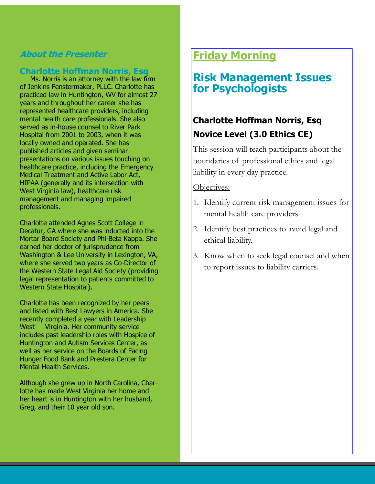## **About the Presenter**

#### **Charlotte Hoffman Norris, Esq**

 Ms. Norris is an attorney with the law firm of Jenkins Fenstermaker, PLLC. Charlotte has practiced law in Huntington, WV for almost 27 years and throughout her career she has represented healthcare providers, including mental health care professionals. She also served as in-house counsel to River Park Hospital from 2001 to 2003, when it was locally owned and operated. She has published articles and given seminar presentations on various issues touching on healthcare practice, including the Emergency Medical Treatment and Active Labor Act, HIPAA (generally and its intersection with West Virginia law), healthcare risk management and managing impaired professionals.

Charlotte attended Agnes Scott College in Decatur, GA where she was inducted into the Mortar Board Society and Phi Beta Kappa. She earned her doctor of jurisprudence from Washington & Lee University in Lexington, VA, where she served two years as Co-Director of the Western State Legal Aid Society (providing legal representation to patients committed to Western State Hospital).

Charlotte has been recognized by her peers and listed with Best Lawyers in America. She recently completed a year with Leadership West Virginia. Her community service includes past leadership roles with Hospice of Huntington and Autism Services Center, as well as her service on the Boards of Facing Hunger Food Bank and Prestera Center for Mental Health Services.

Although she grew up in North Carolina, Charlotte has made West Virginia her home and her heart is in Huntington with her husband, Greg, and their 10 year old son.

# **Friday Morning**

# **Risk Management Issues for Psychologists**

# **Charlotte Hoffman Norris, Esq Novice Level (3.0 Ethics CE)**

This session will teach participants about the boundaries of professional ethics and legal liability in every day practice.

#### Objectives:

- 1. Identify current risk management issues for mental health care providers
- 2. Identify best practices to avoid legal and ethical liability.
- 3. Know when to seek legal counsel and when to report issues to liability carriers.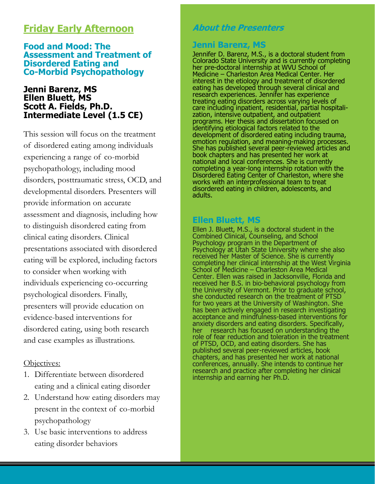# **Friday Early Afternoon**

#### **Food and Mood: The Assessment and Treatment of Disordered Eating and Co-Morbid Psychopathology**

#### **Jenni Barenz, MS Ellen Bluett, MS Scott A. Fields, Ph.D. Intermediate Level (1.5 CE)**

This session will focus on the treatment of disordered eating among individuals experiencing a range of co-morbid psychopathology, including mood disorders, posttraumatic stress, OCD, and developmental disorders. Presenters will provide information on accurate assessment and diagnosis, including how to distinguish disordered eating from clinical eating disorders. Clinical presentations associated with disordered eating will be explored, including factors to consider when working with individuals experiencing co-occurring psychological disorders. Finally, presenters will provide education on evidence-based interventions for disordered eating, using both research and case examples as illustrations.

#### Objectives:

- 1. Differentiate between disordered eating and a clinical eating disorder
- 2. Understand how eating disorders may present in the context of co-morbid psychopathology
- 3. Use basic interventions to address eating disorder behaviors

## **About the Presenters**

# **Jenni Barenz, MS**

Jennifer D. Barenz, M.S., is a doctoral student from Colorado State University and is currently completing her pre-doctoral internship at WVU School of Medicine – Charleston Area Medical Center. Her interest in the etiology and treatment of disordered eating has developed through several clinical and research experiences. Jennifer has experience treating eating disorders across varying levels of care including inpatient, residential, partial hospitalization, intensive outpatient, and outpatient programs. Her thesis and dissertation focused on identifying etiological factors related to the development of disordered eating including trauma, emotion regulation, and meaning-making processes. She has published several peer-reviewed articles and book chapters and has presented her work at national and local conferences. She is currently completing a year-long internship rotation with the Disordered Eating Center of Charleston, where she works with an interprofessional team to treat disordered eating in children, adolescents, and adults.

#### **Ellen Bluett, MS**

Ellen J. Bluett, M.S., is a doctoral student in the Combined Clinical, Counseling, and School Psychology program in the Department of Psychology at Utah State University where she also received her Master of Science. She is currently completing her clinical internship at the West Virginia School of Medicine – Charleston Area Medical Center. Ellen was raised in Jacksonville, Florida and received her B.S. in bio-behavioral psychology from the University of Vermont. Prior to graduate school, she conducted research on the treatment of PTSD for two years at the University of Washington. She has been actively engaged in research investigating acceptance and mindfulness-based interventions for anxiety disorders and eating disorders. Specifically, her research has focused on understanding the role of fear reduction and toleration in the treatment of PTSD, OCD, and eating disorders. She has published several peer-reviewed articles, book chapters, and has presented her work at national conferences, annually. She intends to continue her research and practice after completing her clinical internship and earning her Ph.D.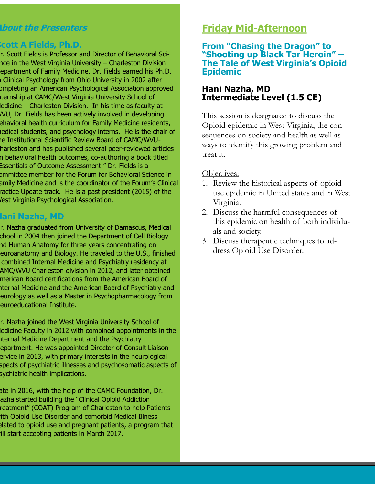## **About the Presenters**

## **Scott A Fields, Ph.D.**

r. Scott Fields is Professor and Director of Behavioral Scince in the West Virginia University – Charleston Division epartment of Family Medicine. Dr. Fields earned his Ph.D. I Clinical Psychology from Ohio University in 2002 after completing an American Psychological Association approved iternship at CAMC/West Virginia University School of ledicine – Charleston Division. In his time as faculty at WVU, Dr. Fields has been actively involved in developing behavioral health curriculum for Family Medicine residents, medical students, and psychology interns. He is the chair of ne Institutional Scientific Review Board of CAMC/WVUharleston and has published several peer-reviewed articles n behavioral health outcomes, co-authoring a book titled Essentials of Outcome Assessment." Dr. Fields is a ommittee member for the Forum for Behavioral Science in amily Medicine and is the coordinator of the Forum's Clinical ractice Update track. He is a past president (2015) of the **Jest Virginia Psychological Association.** 

## **Hani Nazha, MD**

r. Nazha graduated from University of Damascus, Medical chool in 2004 then joined the Department of Cell Biology nd Human Anatomy for three years concentrating on euroanatomy and Biology. He traveled to the U.S., finished combined Internal Medicine and Psychiatry residency at AMC/WVU Charleston division in 2012, and later obtained merican Board certifications from the American Board of Iternal Medicine and the American Board of Psychiatry and eurology as well as a Master in Psychopharmacology from euroeducational Institute.

r. Nazha joined the West Virginia University School of ledicine Faculty in 2012 with combined appointments in the Iternal Medicine Department and the Psychiatry epartment. He was appointed Director of Consult Liaison ervice in 2013, with primary interests in the neurological spects of psychiatric illnesses and psychosomatic aspects of sychiatric health implications.

ate in 2016, with the help of the CAMC Foundation, Dr. azha started building the "Clinical Opioid Addiction reatment" (COAT) Program of Charleston to help Patients with Opioid Use Disorder and comorbid Medical Illness elated to opioid use and pregnant patients, a program that will start accepting patients in March 2017.

# **Friday Mid-Afternoon**

#### **From "Chasing the Dragon" to "Shooting up Black Tar Heroin" – The Tale of West Virginia's Opioid Epidemic**

#### **Hani Nazha, MD Intermediate Level (1.5 CE)**

This session is designated to discuss the Opioid epidemic in West Virginia, the consequences on society and health as well as ways to identify this growing problem and treat it.

#### Objectives:

- 1. Review the historical aspects of opioid use epidemic in United states and in West Virginia.
- 2. Discuss the harmful consequences of this epidemic on health of both individuals and society.
- 3. Discuss therapeutic techniques to address Opioid Use Disorder.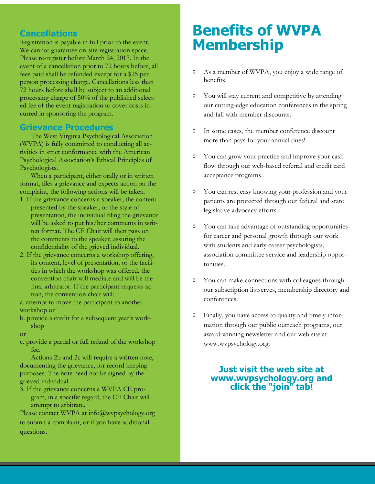#### **Cancellations**

Registration is payable in full prior to the event. We cannot guarantee on-site registration space. Please re-register before March 24, 2017. In the event of a cancellation prior to 72 hours before, all fees paid shall be refunded except for a \$25 per person processing charge. Cancellations less than 72 hours before shall be subject to an additional processing charge of 50% of the published selected fee of the event registration to cover costs incurred in sponsoring the program.

#### **Grievance Procedures**

The West Virginia Psychological Association (WVPA) is fully committed to conducting all activities in strict conformance with the American Psychological Association's Ethical Principles of Psychologists.

When a participant, either orally or in written format, files a grievance and expects action on the complaint, the following actions will be taken.

- 1. If the grievance concerns a speaker, the content presented by the speaker, or the style of presentation, the individual filing the grievance will be asked to put his/her comments in written format. The CE Chair will then pass on the comments to the speaker, assuring the confidentiality of the grieved individual.
- 2. If the grievance concerns a workshop offering, its content, level of presentation, or the facilities in which the workshop was offered, the convention chair will mediate and will be the final arbitrator. If the participant requests action, the convention chair will:

a. attempt to move the participant to another workshop or

b. provide a credit for a subsequent year's workshop

or

c. provide a partial or full refund of the workshop fee.

Actions 2b and 2c will require a written note, documenting the grievance, for record keeping purposes. The note need not be signed by the grieved individual.

3. If the grievance concerns a WVPA CE program, in a specific regard, the CE Chair will attempt to arbitrate.

Please contact WVPA at info@wvpsychology.org to submit a complaint, or if you have additional questions.

# **Benefits of WVPA Membership**

- As a member of WVPA, you enjoy a wide range of benefits!
- You will stay current and competitive by attending our cutting-edge education conferences in the spring and fall with member discounts.
- In some cases, the member conference discount more than pays for your annual dues!
- You can grow your practice and improve your cash flow through our web-based referral and credit card acceptance programs.
- You can rest easy knowing your profession and your patients are protected through our federal and state legislative advocacy efforts.
- You can take advantage of outstanding opportunities for career and personal growth through our work with students and early career psychologists, association committee service and leadership opportunities.
- You can make connections with colleagues through our subscription listserves, membership directory and conferences.
- Finally, you have access to quality and timely information through our public outreach programs, our award-winning newsletter and our web site at www.wvpsychology.org.

#### **Just visit the web site at www.wvpsychology.org and click the "join" tab!**